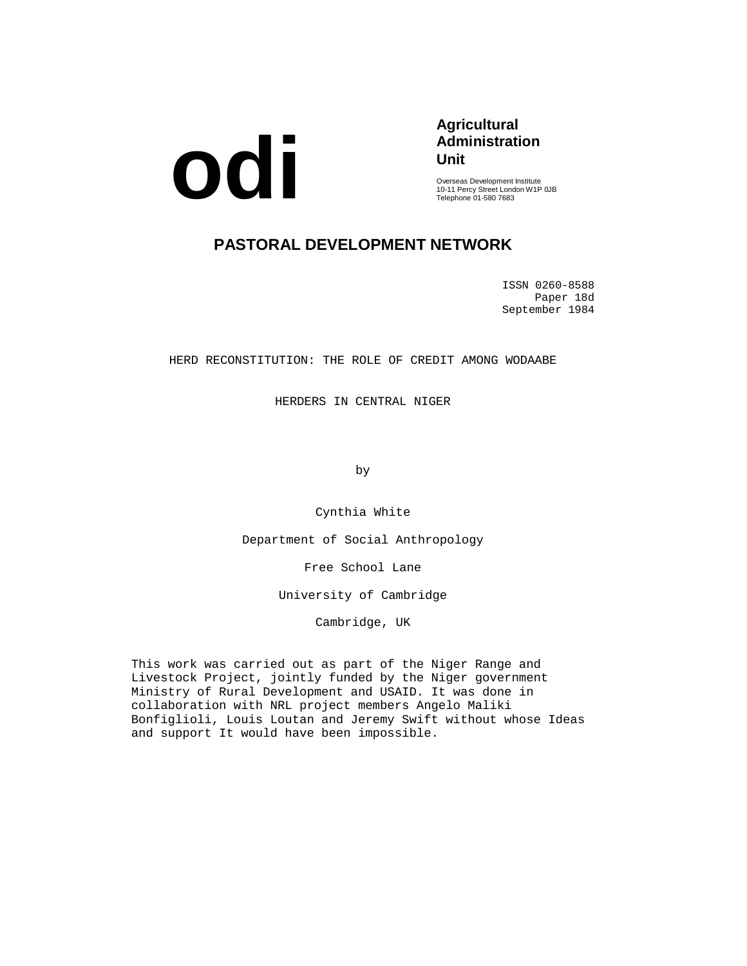

# **Agricultural Administration Unit**

Overseas Development Institute 10-11 Percy Street London W1P 0JB Telephone 01-580 7683

# **PASTORAL DEVELOPMENT NETWORK**

ISSN 0260-8588 Paper 18d September 1984

HERD RECONSTITUTION: THE ROLE OF CREDIT AMONG WODAABE

HERDERS IN CENTRAL NIGER

by

Cynthia White

Department of Social Anthropology

Free School Lane

University of Cambridge

Cambridge, UK

This work was carried out as part of the Niger Range and Livestock Project, jointly funded by the Niger government Ministry of Rural Development and USAID. It was done in collaboration with NRL project members Angelo Maliki Bonfiglioli, Louis Loutan and Jeremy Swift without whose Ideas and support It would have been impossible.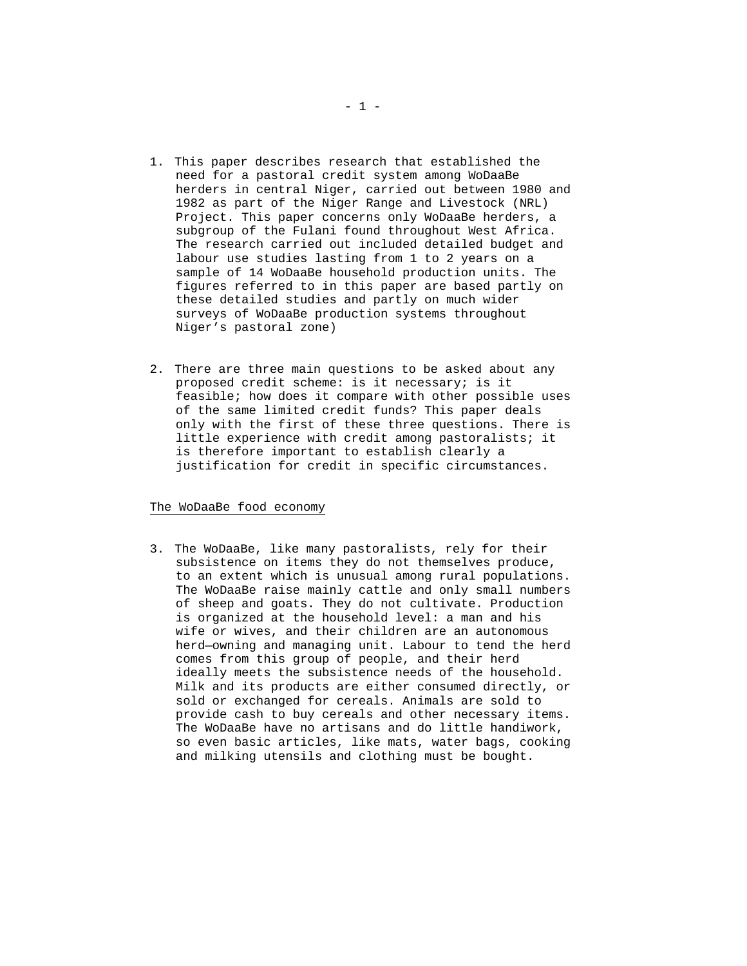- 1. This paper describes research that established the need for a pastoral credit system among WoDaaBe herders in central Niger, carried out between 1980 and 1982 as part of the Niger Range and Livestock (NRL) Project. This paper concerns only WoDaaBe herders, a subgroup of the Fulani found throughout West Africa. The research carried out included detailed budget and labour use studies lasting from 1 to 2 years on a sample of 14 WoDaaBe household production units. The figures referred to in this paper are based partly on these detailed studies and partly on much wider surveys of WoDaaBe production systems throughout Niger's pastoral zone)
- 2. There are three main questions to be asked about any proposed credit scheme: is it necessary; is it feasible; how does it compare with other possible uses of the same limited credit funds? This paper deals only with the first of these three questions. There is little experience with credit among pastoralists; it is therefore important to establish clearly a justification for credit in specific circumstances.

#### The WoDaaBe food economy

3. The WoDaaBe, like many pastoralists, rely for their subsistence on items they do not themselves produce, to an extent which is unusual among rural populations. The WoDaaBe raise mainly cattle and only small numbers of sheep and goats. They do not cultivate. Production is organized at the household level: a man and his wife or wives, and their children are an autonomous herd—owning and managing unit. Labour to tend the herd comes from this group of people, and their herd ideally meets the subsistence needs of the household. Milk and its products are either consumed directly, or sold or exchanged for cereals. Animals are sold to provide cash to buy cereals and other necessary items. The WoDaaBe have no artisans and do little handiwork, so even basic articles, like mats, water bags, cooking and milking utensils and clothing must be bought.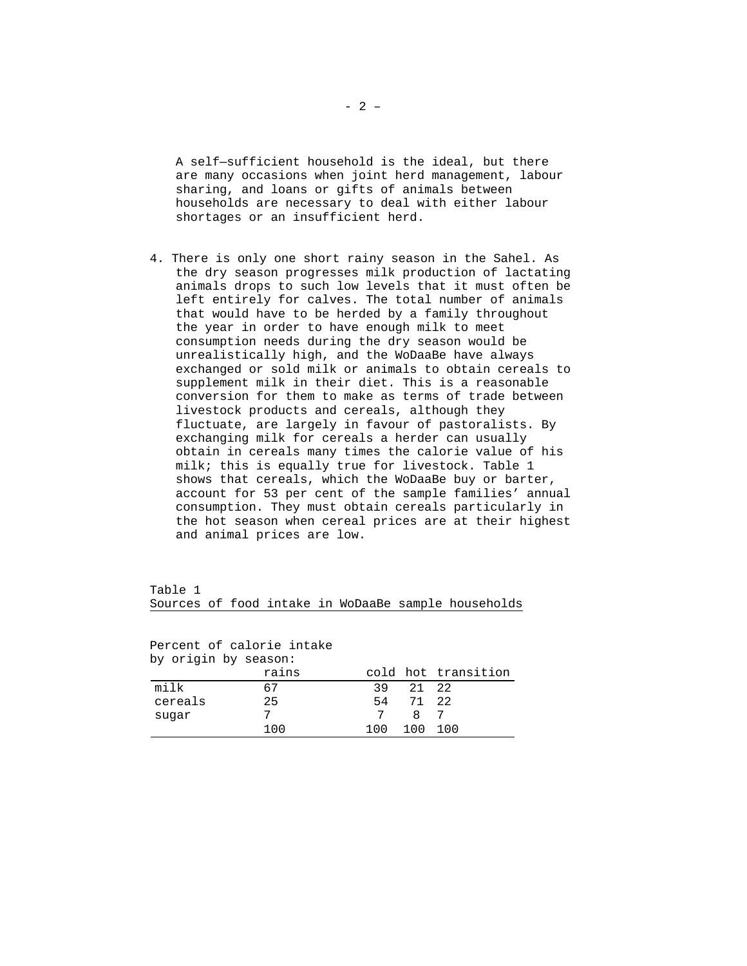A self—sufficient household is the ideal, but there are many occasions when joint herd management, labour sharing, and loans or gifts of animals between households are necessary to deal with either labour shortages or an insufficient herd.

4. There is only one short rainy season in the Sahel. As the dry season progresses milk production of lactating animals drops to such low levels that it must often be left entirely for calves. The total number of animals that would have to be herded by a family throughout the year in order to have enough milk to meet consumption needs during the dry season would be unrealistically high, and the WoDaaBe have always exchanged or sold milk or animals to obtain cereals to supplement milk in their diet. This is a reasonable conversion for them to make as terms of trade between livestock products and cereals, although they fluctuate, are largely in favour of pastoralists. By exchanging milk for cereals a herder can usually obtain in cereals many times the calorie value of his milk; this is equally true for livestock. Table 1 shows that cereals, which the WoDaaBe buy or barter, account for 53 per cent of the sample families' annual consumption. They must obtain cereals particularly in the hot season when cereal prices are at their highest and animal prices are low.

Table 1 Sources of food intake in WoDaaBe sample households

Percent of calorie intake by origin by season:

| ny origin ny season. |       |     |         |                     |
|----------------------|-------|-----|---------|---------------------|
|                      | rains |     |         | cold hot transition |
| milk                 | 67    | 39  | 2.1 2.2 |                     |
| cereals              | 25    | 54  | 71 22   |                     |
| suqar                |       | 7   | 87      |                     |
|                      | 100   | 100 | 100     | 100                 |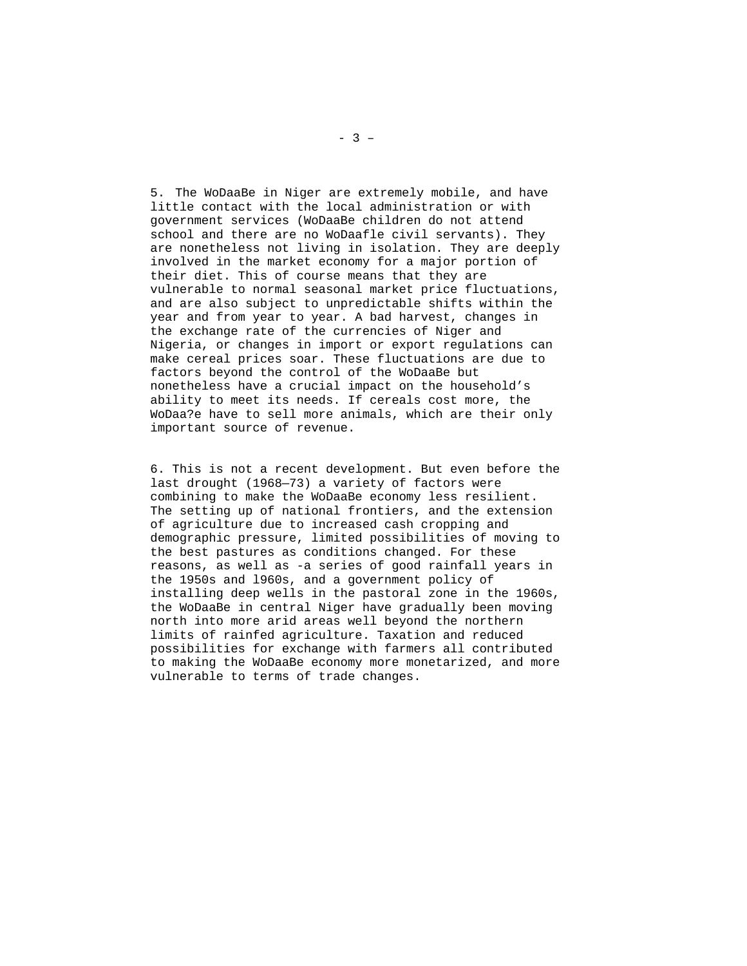5. The WoDaaBe in Niger are extremely mobile, and have little contact with the local administration or with government services (WoDaaBe children do not attend school and there are no WoDaafle civil servants). They are nonetheless not living in isolation. They are deeply involved in the market economy for a major portion of their diet. This of course means that they are vulnerable to normal seasonal market price fluctuations, and are also subject to unpredictable shifts within the year and from year to year. A bad harvest, changes in the exchange rate of the currencies of Niger and Nigeria, or changes in import or export regulations can make cereal prices soar. These fluctuations are due to factors beyond the control of the WoDaaBe but nonetheless have a crucial impact on the household's ability to meet its needs. If cereals cost more, the WoDaa?e have to sell more animals, which are their only important source of revenue.

6. This is not a recent development. But even before the last drought (1968—73) a variety of factors were combining to make the WoDaaBe economy less resilient. The setting up of national frontiers, and the extension of agriculture due to increased cash cropping and demographic pressure, limited possibilities of moving to the best pastures as conditions changed. For these reasons, as well as -a series of good rainfall years in the 1950s and l960s, and a government policy of installing deep wells in the pastoral zone in the 1960s, the WoDaaBe in central Niger have gradually been moving north into more arid areas well beyond the northern limits of rainfed agriculture. Taxation and reduced possibilities for exchange with farmers all contributed to making the WoDaaBe economy more monetarized, and more vulnerable to terms of trade changes.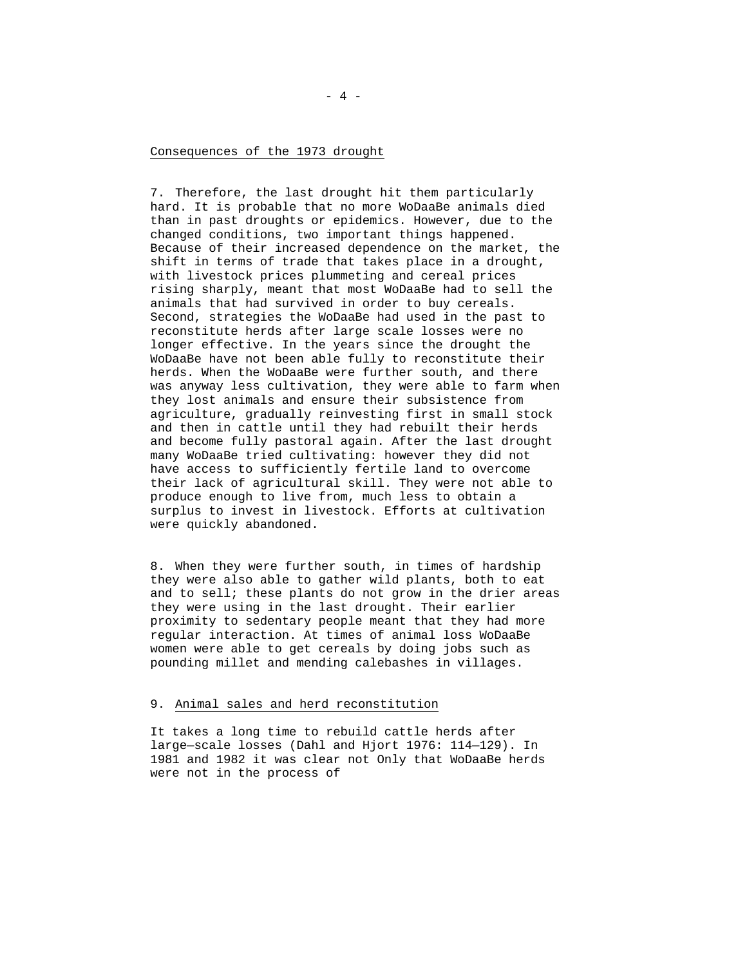#### Consequences of the 1973 drought

7. Therefore, the last drought hit them particularly hard. It is probable that no more WoDaaBe animals died than in past droughts or epidemics. However, due to the changed conditions, two important things happened. Because of their increased dependence on the market, the shift in terms of trade that takes place in a drought, with livestock prices plummeting and cereal prices rising sharply, meant that most WoDaaBe had to sell the animals that had survived in order to buy cereals. Second, strategies the WoDaaBe had used in the past to reconstitute herds after large scale losses were no longer effective. In the years since the drought the WoDaaBe have not been able fully to reconstitute their herds. When the WoDaaBe were further south, and there was anyway less cultivation, they were able to farm when they lost animals and ensure their subsistence from agriculture, gradually reinvesting first in small stock and then in cattle until they had rebuilt their herds and become fully pastoral again. After the last drought many WoDaaBe tried cultivating: however they did not have access to sufficiently fertile land to overcome their lack of agricultural skill. They were not able to produce enough to live from, much less to obtain a surplus to invest in livestock. Efforts at cultivation were quickly abandoned.

8. When they were further south, in times of hardship they were also able to gather wild plants, both to eat and to sell; these plants do not grow in the drier areas they were using in the last drought. Their earlier proximity to sedentary people meant that they had more regular interaction. At times of animal loss WoDaaBe women were able to get cereals by doing jobs such as pounding millet and mending calebashes in villages.

## 9. Animal sales and herd reconstitution

It takes a long time to rebuild cattle herds after large—scale losses (Dahl and Hjort 1976: 114—129). In 1981 and 1982 it was clear not Only that WoDaaBe herds were not in the process of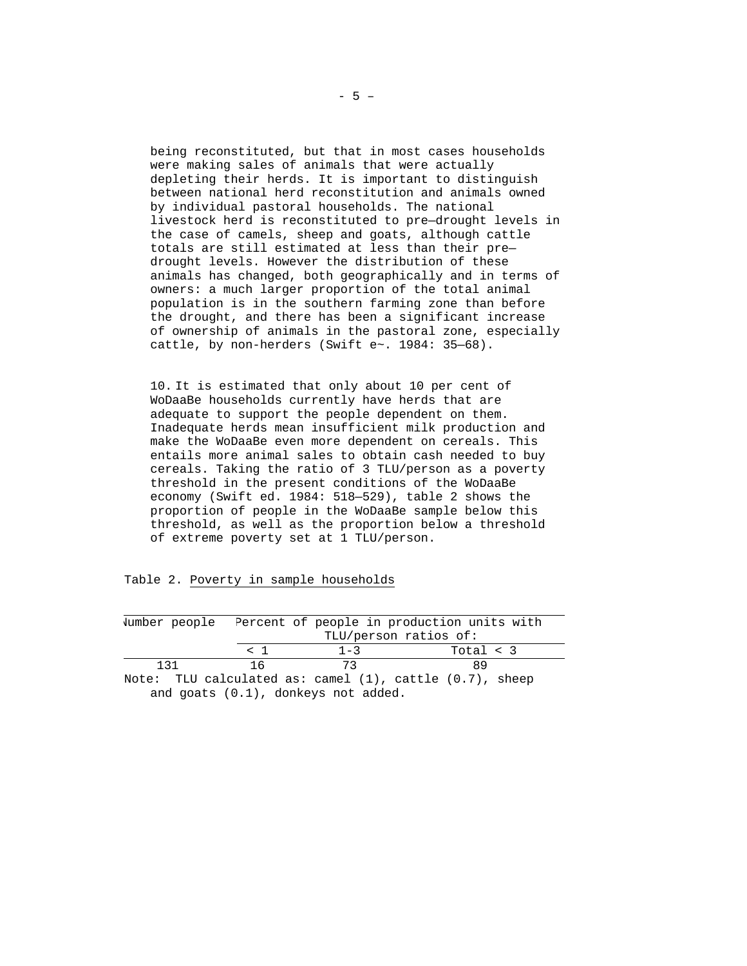being reconstituted, but that in most cases households were making sales of animals that were actually depleting their herds. It is important to distinguish between national herd reconstitution and animals owned by individual pastoral households. The national livestock herd is reconstituted to pre—drought levels in the case of camels, sheep and goats, although cattle totals are still estimated at less than their pre drought levels. However the distribution of these animals has changed, both geographically and in terms of owners: a much larger proportion of the total animal population is in the southern farming zone than before the drought, and there has been a significant increase of ownership of animals in the pastoral zone, especially cattle, by non-herders (Swift e~. 1984: 35—68).

10. It is estimated that only about 10 per cent of WoDaaBe households currently have herds that are adequate to support the people dependent on them. Inadequate herds mean insufficient milk production and make the WoDaaBe even more dependent on cereals. This entails more animal sales to obtain cash needed to buy cereals. Taking the ratio of 3 TLU/person as a poverty threshold in the present conditions of the WoDaaBe economy (Swift ed. 1984: 518—529), table 2 shows the proportion of people in the WoDaaBe sample below this threshold, as well as the proportion below a threshold of extreme poverty set at 1 TLU/person.

| Jumber people |          |                       | Percent of people in production units with                    |  |  |  |
|---------------|----------|-----------------------|---------------------------------------------------------------|--|--|--|
|               |          | TLU/person ratios of: |                                                               |  |  |  |
|               | $\sim$ 1 | $1 - 3$               | Total $\lt$ 3                                                 |  |  |  |
| 131           | 16       | 73                    | 89                                                            |  |  |  |
|               | .        |                       | Note: TLU calculated as: camel $(1)$ , cattle $(0.7)$ , sheep |  |  |  |

|  |  |  |  |  | Table 2. Poverty in sample households |
|--|--|--|--|--|---------------------------------------|
|--|--|--|--|--|---------------------------------------|

and goats (0.1), donkeys not added.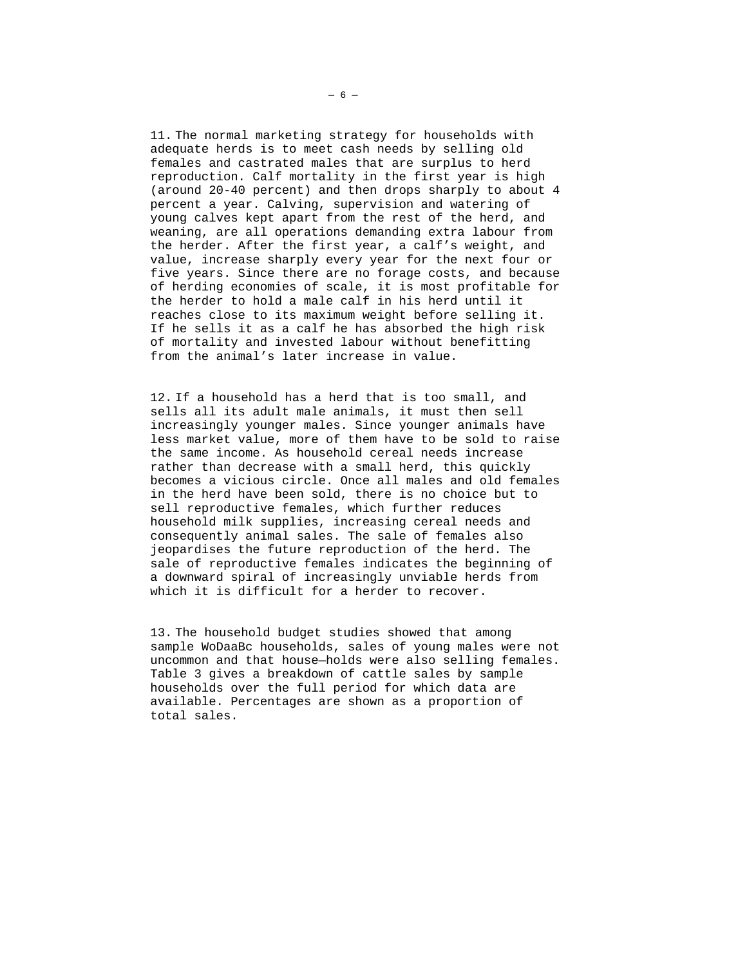11. The normal marketing strategy for households with adequate herds is to meet cash needs by selling old females and castrated males that are surplus to herd reproduction. Calf mortality in the first year is high (around 20-40 percent) and then drops sharply to about 4 percent a year. Calving, supervision and watering of young calves kept apart from the rest of the herd, and weaning, are all operations demanding extra labour from the herder. After the first year, a calf's weight, and value, increase sharply every year for the next four or five years. Since there are no forage costs, and because of herding economies of scale, it is most profitable for the herder to hold a male calf in his herd until it reaches close to its maximum weight before selling it. If he sells it as a calf he has absorbed the high risk of mortality and invested labour without benefitting from the animal's later increase in value.

12. If a household has a herd that is too small, and sells all its adult male animals, it must then sell increasingly younger males. Since younger animals have less market value, more of them have to be sold to raise the same income. As household cereal needs increase rather than decrease with a small herd, this quickly becomes a vicious circle. Once all males and old females in the herd have been sold, there is no choice but to sell reproductive females, which further reduces household milk supplies, increasing cereal needs and consequently animal sales. The sale of females also jeopardises the future reproduction of the herd. The sale of reproductive females indicates the beginning of a downward spiral of increasingly unviable herds from which it is difficult for a herder to recover.

13. The household budget studies showed that among sample WoDaaBc households, sales of young males were not uncommon and that house—holds were also selling females. Table 3 gives a breakdown of cattle sales by sample households over the full period for which data are available. Percentages are shown as a proportion of total sales.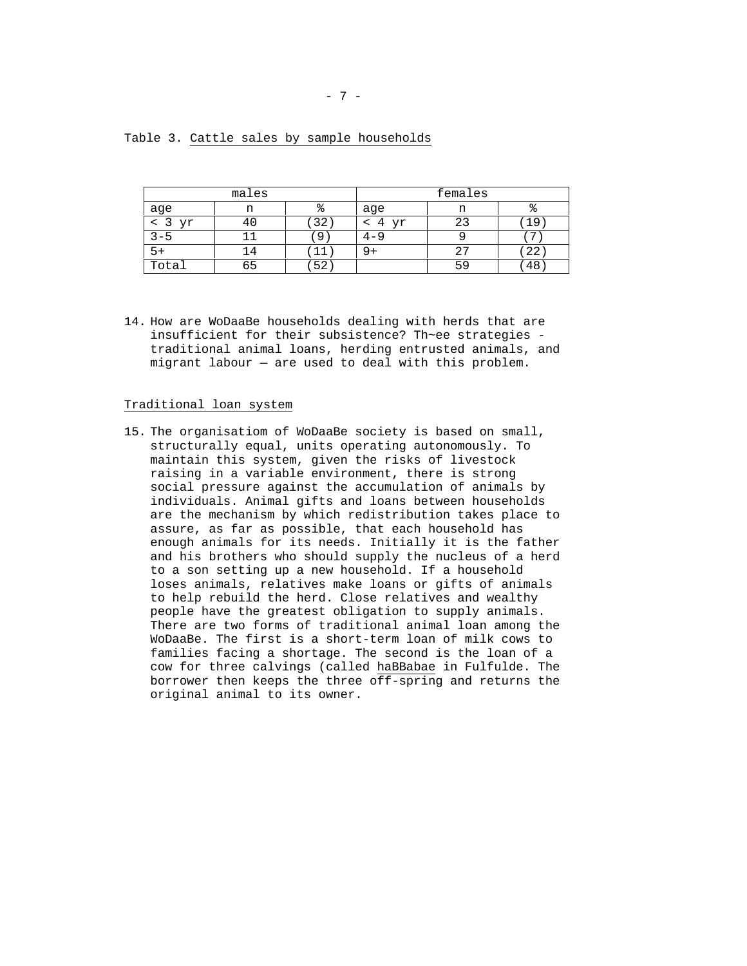| males |     |    | females |    |    |  |
|-------|-----|----|---------|----|----|--|
| age   | n   |    | age     | n  | ъ  |  |
| yr    | 4 ( | 32 | Vr<br>4 | 23 | 19 |  |
| ל – ל |     | a  |         |    | ∍  |  |
| +כ    |     |    |         | 27 | 22 |  |
| Total | 65  | 52 |         | 59 | 48 |  |

Table 3. Cattle sales by sample households

14. How are WoDaaBe households dealing with herds that are insufficient for their subsistence? Th~ee strategies traditional animal loans, herding entrusted animals, and migrant labour — are used to deal with this problem.

## Traditional loan system

15. The organisatiom of WoDaaBe society is based on small, structurally equal, units operating autonomously. To maintain this system, given the risks of livestock raising in a variable environment, there is strong social pressure against the accumulation of animals by individuals. Animal gifts and loans between households are the mechanism by which redistribution takes place to assure, as far as possible, that each household has enough animals for its needs. Initially it is the father and his brothers who should supply the nucleus of a herd to a son setting up a new household. If a household loses animals, relatives make loans or gifts of animals to help rebuild the herd. Close relatives and wealthy people have the greatest obligation to supply animals. There are two forms of traditional animal loan among the WoDaaBe. The first is a short-term loan of milk cows to families facing a shortage. The second is the loan of a cow for three calvings (called haBBabae in Fulfulde. The borrower then keeps the three off-spring and returns the original animal to its owner.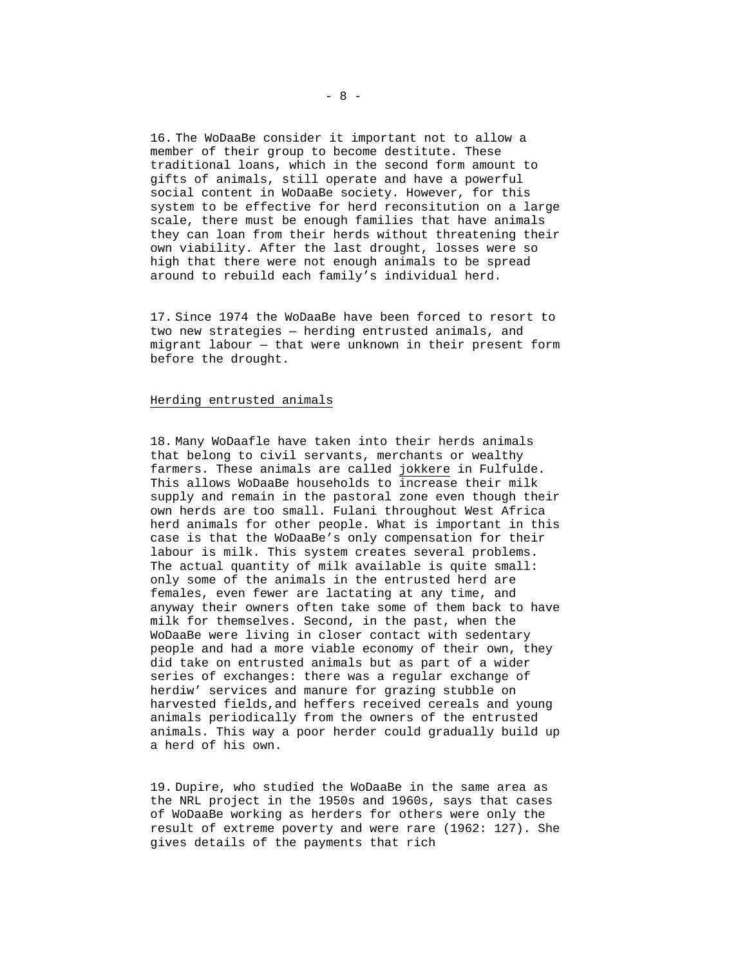16. The WoDaaBe consider it important not to allow a member of their group to become destitute. These traditional loans, which in the second form amount to gifts of animals, still operate and have a powerful social content in WoDaaBe society. However, for this system to be effective for herd reconsitution on a large scale, there must be enough families that have animals they can loan from their herds without threatening their own viability. After the last drought, losses were so high that there were not enough animals to be spread around to rebuild each family's individual herd.

17. Since 1974 the WoDaaBe have been forced to resort to two new strategies — herding entrusted animals, and migrant labour — that were unknown in their present form before the drought.

### Herding entrusted animals

18. Many WoDaafle have taken into their herds animals that belong to civil servants, merchants or wealthy farmers. These animals are called jokkere in Fulfulde. This allows WoDaaBe households to increase their milk supply and remain in the pastoral zone even though their own herds are too small. Fulani throughout West Africa herd animals for other people. What is important in this case is that the WoDaaBe's only compensation for their labour is milk. This system creates several problems. The actual quantity of milk available is quite small: only some of the animals in the entrusted herd are females, even fewer are lactating at any time, and anyway their owners often take some of them back to have milk for themselves. Second, in the past, when the WoDaaBe were living in closer contact with sedentary people and had a more viable economy of their own, they did take on entrusted animals but as part of a wider series of exchanges: there was a regular exchange of herdiw' services and manure for grazing stubble on harvested fields,and heffers received cereals and young animals periodically from the owners of the entrusted animals. This way a poor herder could gradually build up a herd of his own.

19. Dupire, who studied the WoDaaBe in the same area as the NRL project in the 1950s and 1960s, says that cases of WoDaaBe working as herders for others were only the result of extreme poverty and were rare (1962: 127). She gives details of the payments that rich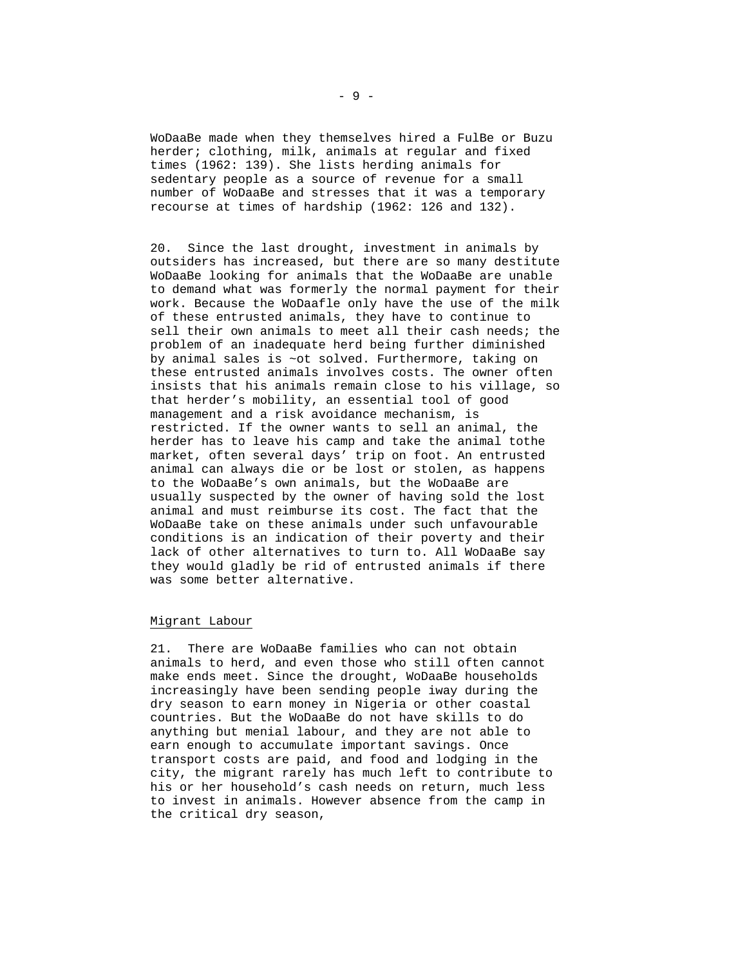WoDaaBe made when they themselves hired a FulBe or Buzu herder; clothing, milk, animals at regular and fixed times (1962: 139). She lists herding animals for sedentary people as a source of revenue for a small number of WoDaaBe and stresses that it was a temporary recourse at times of hardship (1962: 126 and 132).

20. Since the last drought, investment in animals by outsiders has increased, but there are so many destitute WoDaaBe looking for animals that the WoDaaBe are unable to demand what was formerly the normal payment for their work. Because the WoDaafle only have the use of the milk of these entrusted animals, they have to continue to sell their own animals to meet all their cash needs; the problem of an inadequate herd being further diminished by animal sales is ~ot solved. Furthermore, taking on these entrusted animals involves costs. The owner often insists that his animals remain close to his village, so that herder's mobility, an essential tool of good management and a risk avoidance mechanism, is restricted. If the owner wants to sell an animal, the herder has to leave his camp and take the animal tothe market, often several days' trip on foot. An entrusted animal can always die or be lost or stolen, as happens to the WoDaaBe's own animals, but the WoDaaBe are usually suspected by the owner of having sold the lost animal and must reimburse its cost. The fact that the WoDaaBe take on these animals under such unfavourable conditions is an indication of their poverty and their lack of other alternatives to turn to. All WoDaaBe say they would gladly be rid of entrusted animals if there was some better alternative.

## Migrant Labour

21. There are WoDaaBe families who can not obtain animals to herd, and even those who still often cannot make ends meet. Since the drought, WoDaaBe households increasingly have been sending people iway during the dry season to earn money in Nigeria or other coastal countries. But the WoDaaBe do not have skills to do anything but menial labour, and they are not able to earn enough to accumulate important savings. Once transport costs are paid, and food and lodging in the city, the migrant rarely has much left to contribute to his or her household's cash needs on return, much less to invest in animals. However absence from the camp in the critical dry season,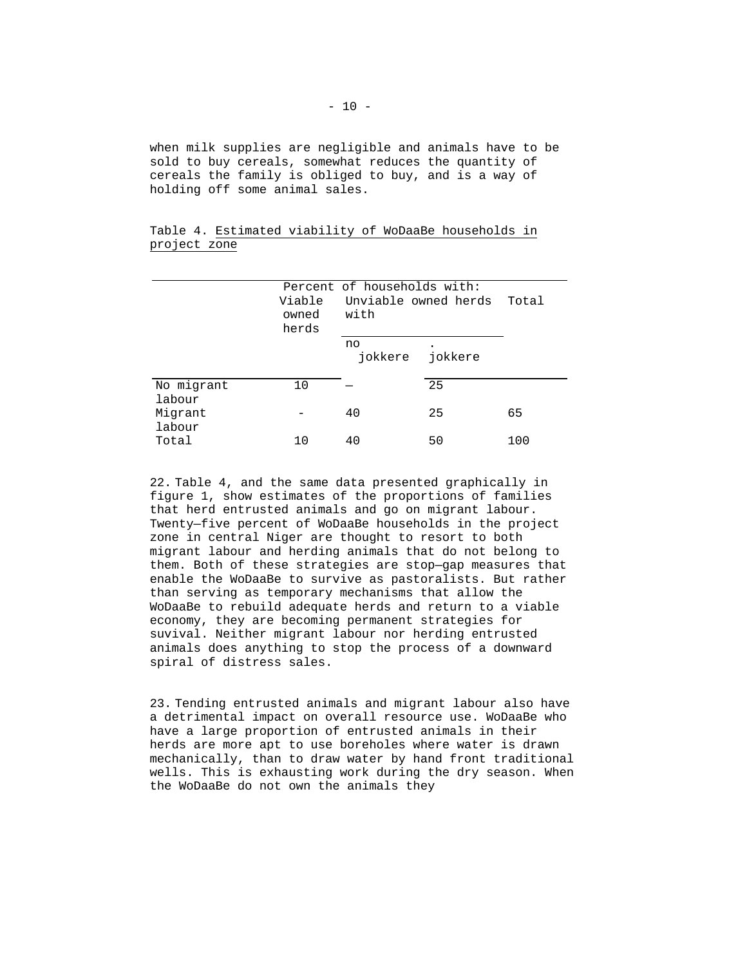when milk supplies are negligible and animals have to be sold to buy cereals, somewhat reduces the quantity of cereals the family is obliged to buy, and is a way of holding off some animal sales.

|              |  |  | Table 4. Estimated viability of WoDaaBe households in |  |
|--------------|--|--|-------------------------------------------------------|--|
| project zone |  |  |                                                       |  |

|                      | Viable<br>owned<br>herds | Percent of households with:<br>Unviable owned herds<br>with | Total   |     |
|----------------------|--------------------------|-------------------------------------------------------------|---------|-----|
|                      |                          | no<br>iokkere                                               | jokkere |     |
| No migrant<br>labour | 10                       |                                                             | 25      |     |
| Migrant<br>labour    |                          | 40                                                          | 25      | 65  |
| Total                | 10                       | 40                                                          | 50      | 100 |

22. Table 4, and the same data presented graphically in figure 1, show estimates of the proportions of families that herd entrusted animals and go on migrant labour. Twenty—five percent of WoDaaBe households in the project zone in central Niger are thought to resort to both migrant labour and herding animals that do not belong to them. Both of these strategies are stop—gap measures that enable the WoDaaBe to survive as pastoralists. But rather than serving as temporary mechanisms that allow the WoDaaBe to rebuild adequate herds and return to a viable economy, they are becoming permanent strategies for suvival. Neither migrant labour nor herding entrusted animals does anything to stop the process of a downward spiral of distress sales.

23. Tending entrusted animals and migrant labour also have a detrimental impact on overall resource use. WoDaaBe who have a large proportion of entrusted animals in their herds are more apt to use boreholes where water is drawn mechanically, than to draw water by hand front traditional wells. This is exhausting work during the dry season. When the WoDaaBe do not own the animals they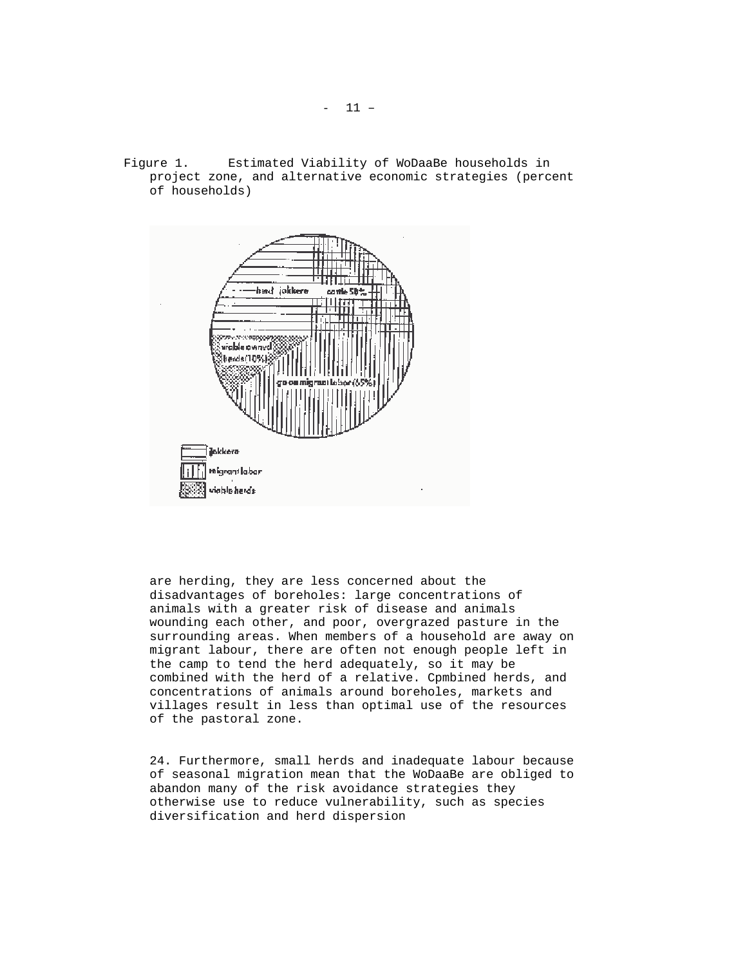Figure 1. Estimated Viability of WoDaaBe households in project zone, and alternative economic strategies (percent of households)



are herding, they are less concerned about the disadvantages of boreholes: large concentrations of animals with a greater risk of disease and animals wounding each other, and poor, overgrazed pasture in the surrounding areas. When members of a household are away on migrant labour, there are often not enough people left in the camp to tend the herd adequately, so it may be combined with the herd of a relative. Cpmbined herds, and concentrations of animals around boreholes, markets and villages result in less than optimal use of the resources of the pastoral zone.

24. Furthermore, small herds and inadequate labour because of seasonal migration mean that the WoDaaBe are obliged to abandon many of the risk avoidance strategies they otherwise use to reduce vulnerability, such as species diversification and herd dispersion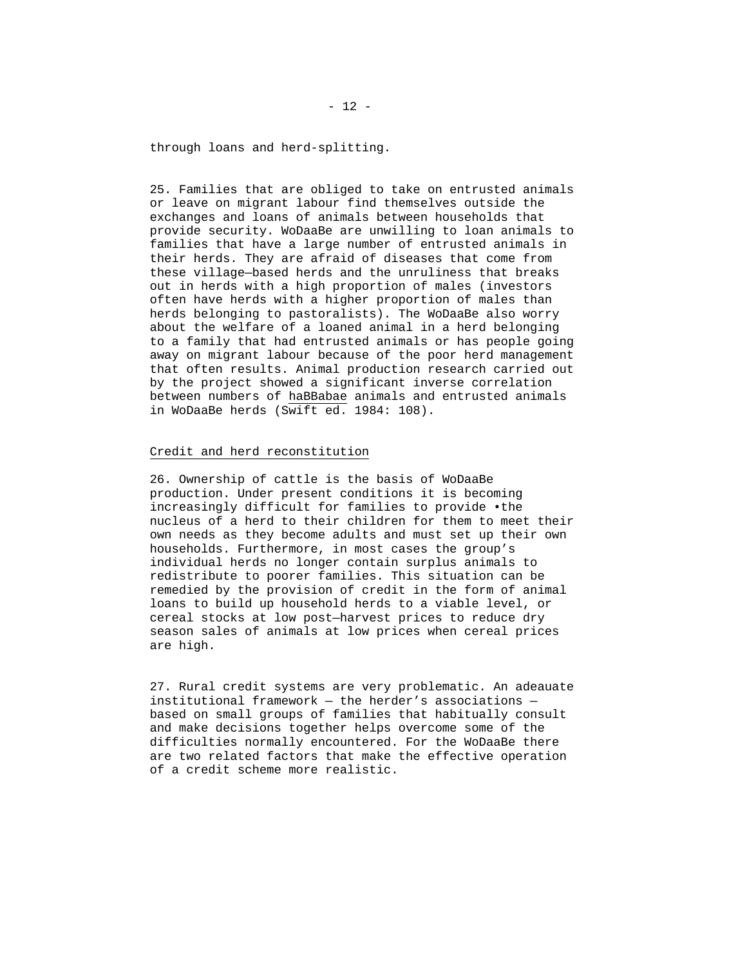through loans and herd-splitting.

25. Families that are obliged to take on entrusted animals or leave on migrant labour find themselves outside the exchanges and loans of animals between households that provide security. WoDaaBe are unwilling to loan animals to families that have a large number of entrusted animals in their herds. They are afraid of diseases that come from these village—based herds and the unruliness that breaks out in herds with a high proportion of males (investors often have herds with a higher proportion of males than herds belonging to pastoralists). The WoDaaBe also worry about the welfare of a loaned animal in a herd belonging to a family that had entrusted animals or has people going away on migrant labour because of the poor herd management that often results. Animal production research carried out by the project showed a significant inverse correlation between numbers of haBBabae animals and entrusted animals in WoDaaBe herds (Swift ed. 1984: 108).

### Credit and herd reconstitution

26. Ownership of cattle is the basis of WoDaaBe production. Under present conditions it is becoming increasingly difficult for families to provide •the nucleus of a herd to their children for them to meet their own needs as they become adults and must set up their own households. Furthermore, in most cases the group's individual herds no longer contain surplus animals to redistribute to poorer families. This situation can be remedied by the provision of credit in the form of animal loans to build up household herds to a viable level, or cereal stocks at low post—harvest prices to reduce dry season sales of animals at low prices when cereal prices are high.

27. Rural credit systems are very problematic. An adeauate institutional framework — the herder's associations based on small groups of families that habitually consult and make decisions together helps overcome some of the difficulties normally encountered. For the WoDaaBe there are two related factors that make the effective operation of a credit scheme more realistic.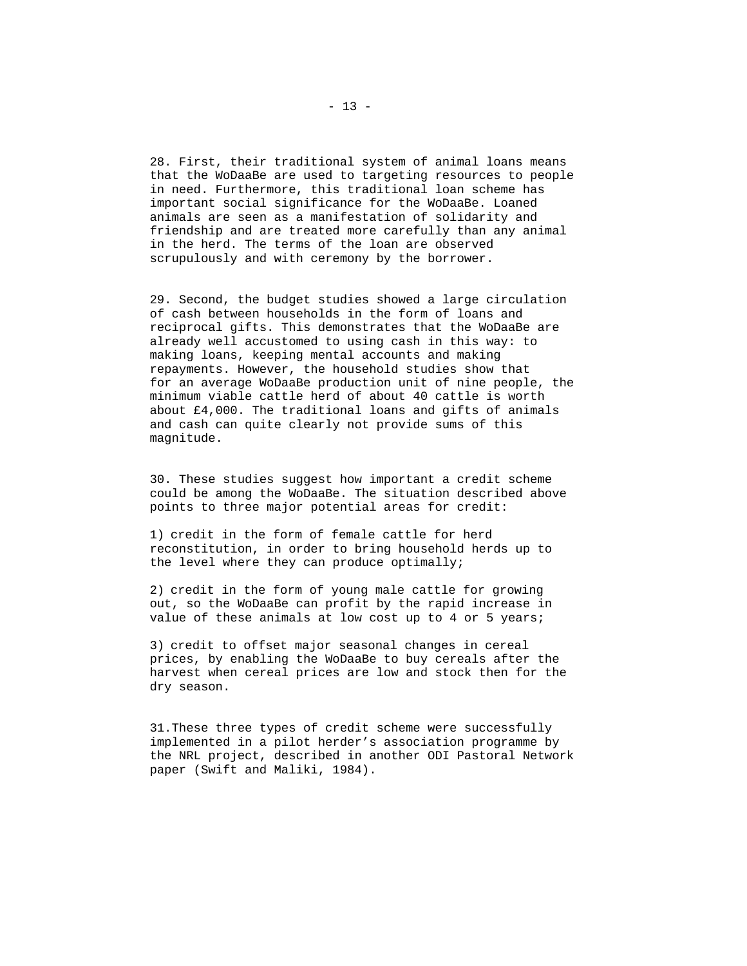28. First, their traditional system of animal loans means that the WoDaaBe are used to targeting resources to people in need. Furthermore, this traditional loan scheme has important social significance for the WoDaaBe. Loaned animals are seen as a manifestation of solidarity and friendship and are treated more carefully than any animal in the herd. The terms of the loan are observed scrupulously and with ceremony by the borrower.

29. Second, the budget studies showed a large circulation of cash between households in the form of loans and reciprocal gifts. This demonstrates that the WoDaaBe are already well accustomed to using cash in this way: to making loans, keeping mental accounts and making repayments. However, the household studies show that for an average WoDaaBe production unit of nine people, the minimum viable cattle herd of about 40 cattle is worth about £4,000. The traditional loans and gifts of animals and cash can quite clearly not provide sums of this magnitude.

30. These studies suggest how important a credit scheme could be among the WoDaaBe. The situation described above points to three major potential areas for credit:

1) credit in the form of female cattle for herd reconstitution, in order to bring household herds up to the level where they can produce optimally;

2) credit in the form of young male cattle for growing out, so the WoDaaBe can profit by the rapid increase in value of these animals at low cost up to 4 or 5 years;

3) credit to offset major seasonal changes in cereal prices, by enabling the WoDaaBe to buy cereals after the harvest when cereal prices are low and stock then for the dry season.

31.These three types of credit scheme were successfully implemented in a pilot herder's association programme by the NRL project, described in another ODI Pastoral Network paper (Swift and Maliki, 1984).